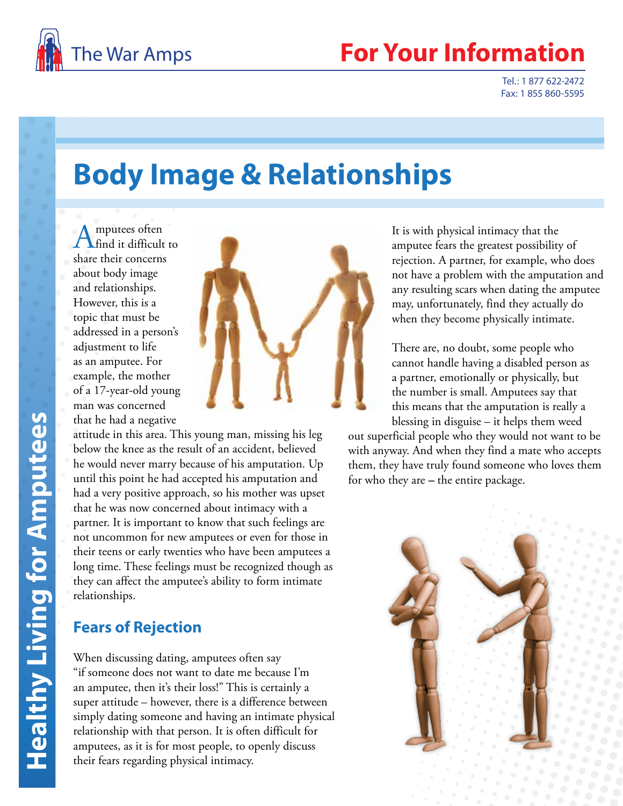

## **Your Information**

Tel.: 1 877 622-2472 Fax: 1 855 860-5595

# **Body Image & Relationships**

Amputees often find it difficult to share their concerns about body image and relationships. However, this is a topic that must be addressed in a person's adjustment to life as an amputee. For example, the mother of a 17-year-old young man was concerned that he had a negative



attitude in this area. This young man, missing his leg below the knee as the result of an accident, believed he would never marry because of his amputation. Up until this point he had accepted his amputation and had a very positive approach, so his mother was upset that he was now concerned about intimacy with a partner. It is important to know that such feelings are not uncommon for new amputees or even for those in their teens or early twenties who have been amputees a long time. These feelings must be recognized though as they can affect the amputee's ability to form intimate relationships.

#### **Fears of Rejection**

When discussing dating, amputees often say "if someone does not want to date me because I'm an amputee, then it's their loss!" This is certainly a super attitude – however, there is a difference between simply dating someone and having an intimate physical relationship with that person. It is often difficult for amputees, as it is for most people, to openly discuss their fears regarding physical intimacy.

It is with physical intimacy that the amputee fears the greatest possibility of rejection. A partner, for example, who does not have a problem with the amputation and any resulting scars when dating the amputee may, unfortunately, find they actually do when they become physically intimate.

There are, no doubt, some people who cannot handle having a disabled person as a partner, emotionally or physically, but the number is small. Amputees say that this means that the amputation is really a blessing in disguise – it helps them weed

out superficial people who they would not want to be with anyway. And when they find a mate who accepts them, they have truly found someone who loves them for who they are *–* the entire package.

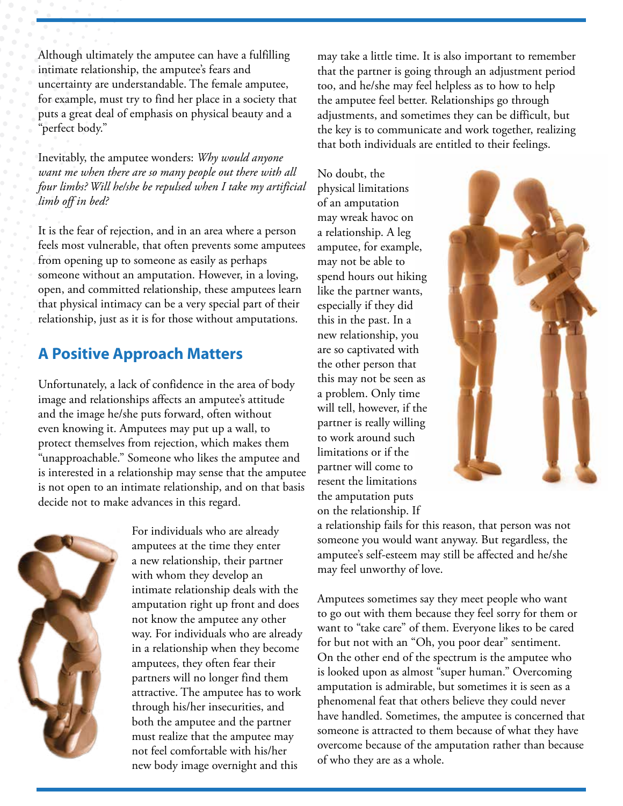Although ultimately the amputee can have a fulfilling intimate relationship, the amputee's fears and uncertainty are understandable. The female amputee, for example, must try to find her place in a society that puts a great deal of emphasis on physical beauty and a "perfect body."

Inevitably, the amputee wonders: *Why would anyone want me when there are so many people out there with all four limbs? Will he/she be repulsed when I take my artificial limb off in bed?*

It is the fear of rejection, and in an area where a person feels most vulnerable, that often prevents some amputees from opening up to someone as easily as perhaps someone without an amputation. However, in a loving, open, and committed relationship, these amputees learn that physical intimacy can be a very special part of their relationship, just as it is for those without amputations.

### **A Positive Approach Matters**

Unfortunately, a lack of confidence in the area of body image and relationships affects an amputee's attitude and the image he/she puts forward, often without even knowing it. Amputees may put up a wall, to protect themselves from rejection, which makes them "unapproachable." Someone who likes the amputee and is interested in a relationship may sense that the amputee is not open to an intimate relationship, and on that basis decide not to make advances in this regard.



For individuals who are already amputees at the time they enter a new relationship, their partner with whom they develop an intimate relationship deals with the amputation right up front and does not know the amputee any other way. For individuals who are already in a relationship when they become amputees, they often fear their partners will no longer find them attractive. The amputee has to work through his/her insecurities, and both the amputee and the partner must realize that the amputee may not feel comfortable with his/her new body image overnight and this

may take a little time. It is also important to remember that the partner is going through an adjustment period too, and he/she may feel helpless as to how to help the amputee feel better. Relationships go through adjustments, and sometimes they can be difficult, but the key is to communicate and work together, realizing that both individuals are entitled to their feelings.

No doubt, the physical limitations of an amputation may wreak havoc on a relationship. A leg amputee, for example, may not be able to spend hours out hiking like the partner wants, especially if they did this in the past. In a new relationship, you are so captivated with the other person that this may not be seen as a problem. Only time will tell, however, if the partner is really willing to work around such limitations or if the partner will come to resent the limitations the amputation puts on the relationship. If



a relationship fails for this reason, that person was not someone you would want anyway. But regardless, the amputee's self-esteem may still be affected and he/she may feel unworthy of love.

Amputees sometimes say they meet people who want to go out with them because they feel sorry for them or want to "take care" of them. Everyone likes to be cared for but not with an "Oh, you poor dear" sentiment. On the other end of the spectrum is the amputee who is looked upon as almost "super human." Overcoming amputation is admirable, but sometimes it is seen as a phenomenal feat that others believe they could never have handled. Sometimes, the amputee is concerned that someone is attracted to them because of what they have overcome because of the amputation rather than because of who they are as a whole.